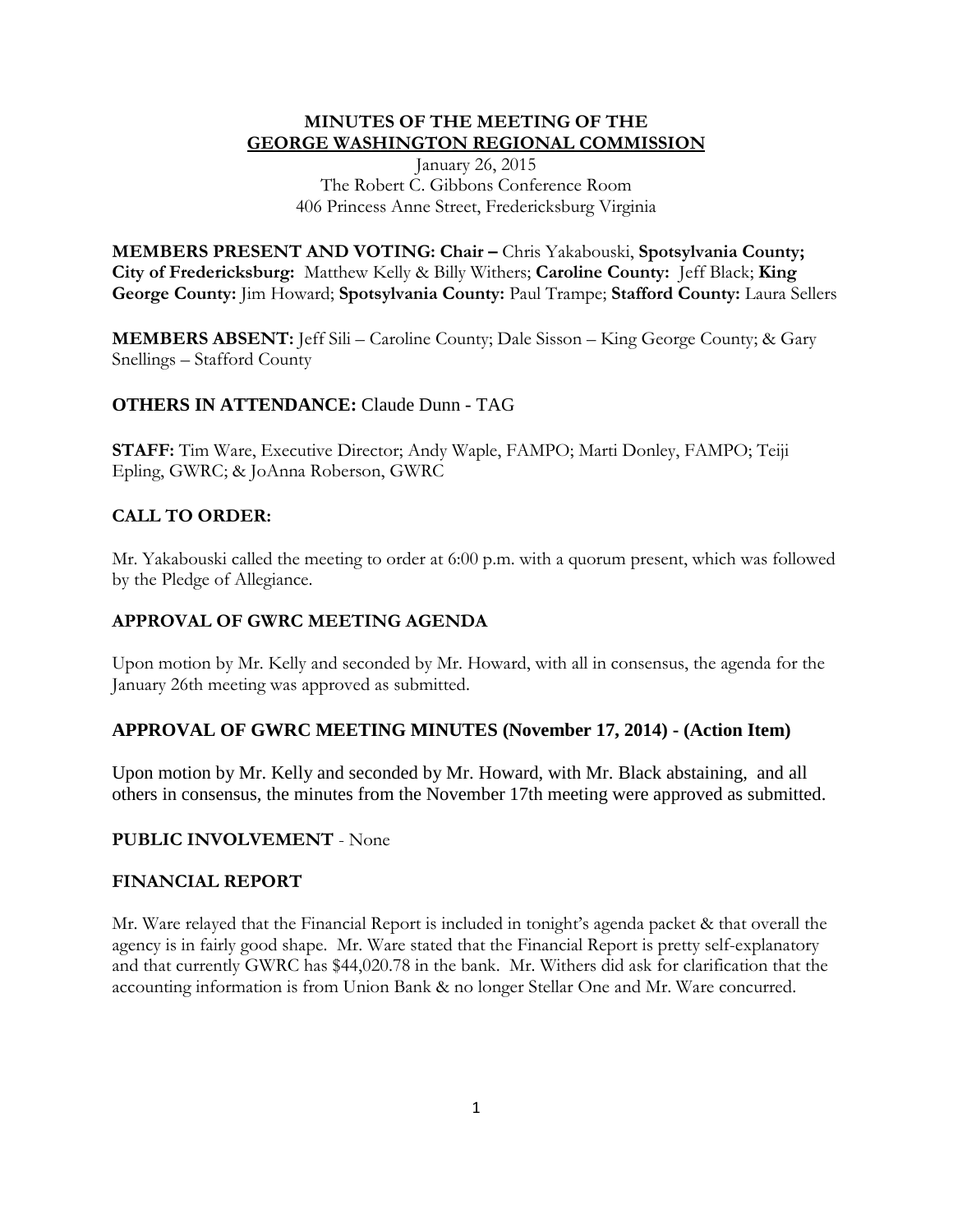### **MINUTES OF THE MEETING OF THE GEORGE WASHINGTON REGIONAL COMMISSION**

January 26, 2015 The Robert C. Gibbons Conference Room 406 Princess Anne Street, Fredericksburg Virginia

**MEMBERS PRESENT AND VOTING: Chair –** Chris Yakabouski, **Spotsylvania County; City of Fredericksburg:** Matthew Kelly & Billy Withers; **Caroline County:** Jeff Black; **King George County:** Jim Howard; **Spotsylvania County:** Paul Trampe; **Stafford County:** Laura Sellers

**MEMBERS ABSENT:** Jeff Sili – Caroline County; Dale Sisson – King George County; & Gary Snellings – Stafford County

# **OTHERS IN ATTENDANCE:** Claude Dunn - TAG

**STAFF:** Tim Ware, Executive Director; Andy Waple, FAMPO; Marti Donley, FAMPO; Teiji Epling, GWRC; & JoAnna Roberson, GWRC

# **CALL TO ORDER:**

Mr. Yakabouski called the meeting to order at 6:00 p.m. with a quorum present, which was followed by the Pledge of Allegiance.

### **APPROVAL OF GWRC MEETING AGENDA**

Upon motion by Mr. Kelly and seconded by Mr. Howard, with all in consensus, the agenda for the January 26th meeting was approved as submitted.

#### **APPROVAL OF GWRC MEETING MINUTES (November 17, 2014) - (Action Item)**

Upon motion by Mr. Kelly and seconded by Mr. Howard, with Mr. Black abstaining, and all others in consensus, the minutes from the November 17th meeting were approved as submitted.

#### **PUBLIC INVOLVEMENT** - None

#### **FINANCIAL REPORT**

Mr. Ware relayed that the Financial Report is included in tonight's agenda packet & that overall the agency is in fairly good shape. Mr. Ware stated that the Financial Report is pretty self-explanatory and that currently GWRC has \$44,020.78 in the bank. Mr. Withers did ask for clarification that the accounting information is from Union Bank & no longer Stellar One and Mr. Ware concurred.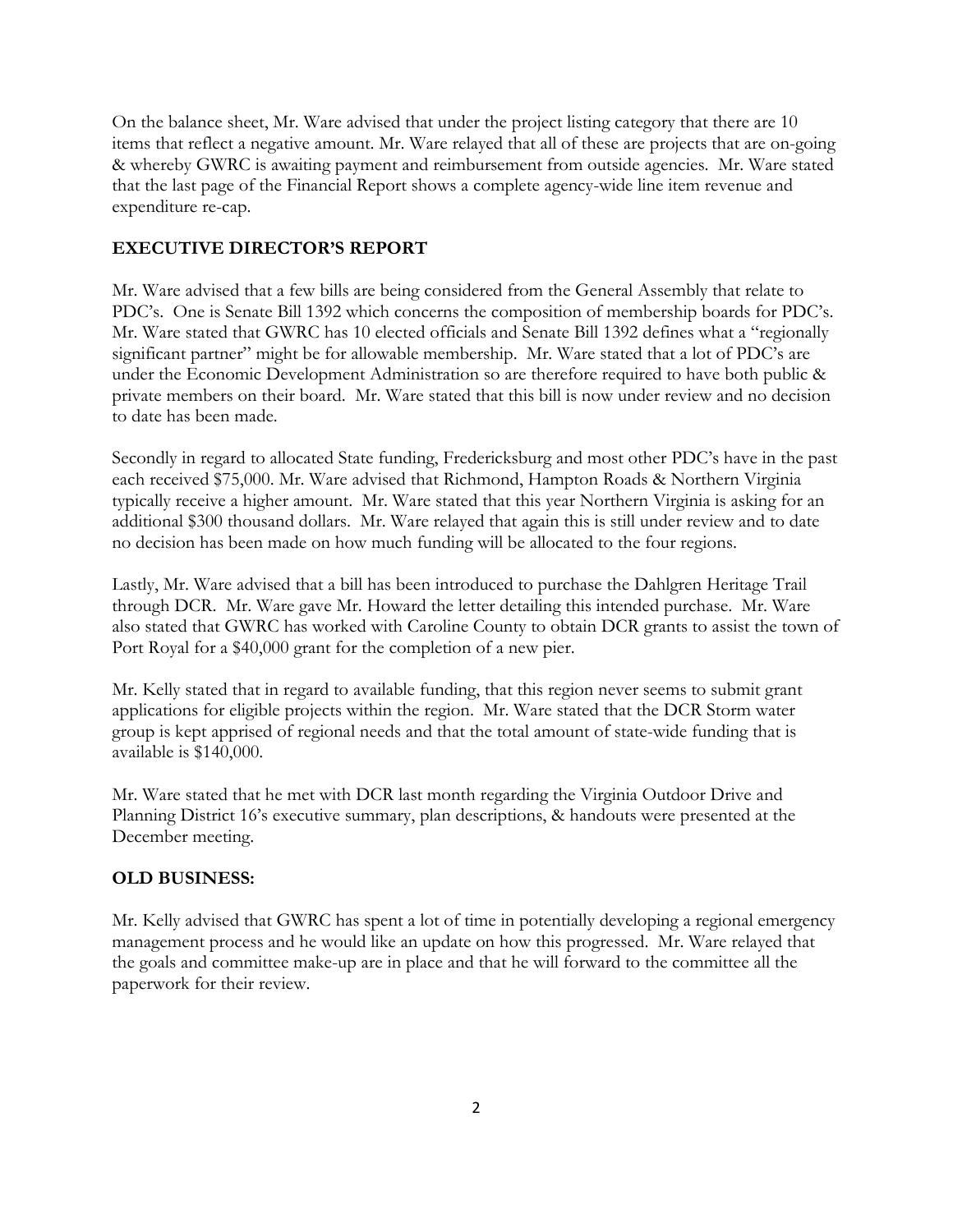On the balance sheet, Mr. Ware advised that under the project listing category that there are 10 items that reflect a negative amount. Mr. Ware relayed that all of these are projects that are on-going & whereby GWRC is awaiting payment and reimbursement from outside agencies. Mr. Ware stated that the last page of the Financial Report shows a complete agency-wide line item revenue and expenditure re-cap.

## **EXECUTIVE DIRECTOR'S REPORT**

Mr. Ware advised that a few bills are being considered from the General Assembly that relate to PDC's. One is Senate Bill 1392 which concerns the composition of membership boards for PDC's. Mr. Ware stated that GWRC has 10 elected officials and Senate Bill 1392 defines what a "regionally significant partner" might be for allowable membership. Mr. Ware stated that a lot of PDC's are under the Economic Development Administration so are therefore required to have both public & private members on their board. Mr. Ware stated that this bill is now under review and no decision to date has been made.

Secondly in regard to allocated State funding, Fredericksburg and most other PDC's have in the past each received \$75,000. Mr. Ware advised that Richmond, Hampton Roads & Northern Virginia typically receive a higher amount. Mr. Ware stated that this year Northern Virginia is asking for an additional \$300 thousand dollars. Mr. Ware relayed that again this is still under review and to date no decision has been made on how much funding will be allocated to the four regions.

Lastly, Mr. Ware advised that a bill has been introduced to purchase the Dahlgren Heritage Trail through DCR. Mr. Ware gave Mr. Howard the letter detailing this intended purchase. Mr. Ware also stated that GWRC has worked with Caroline County to obtain DCR grants to assist the town of Port Royal for a \$40,000 grant for the completion of a new pier.

Mr. Kelly stated that in regard to available funding, that this region never seems to submit grant applications for eligible projects within the region. Mr. Ware stated that the DCR Storm water group is kept apprised of regional needs and that the total amount of state-wide funding that is available is \$140,000.

Mr. Ware stated that he met with DCR last month regarding the Virginia Outdoor Drive and Planning District 16's executive summary, plan descriptions, & handouts were presented at the December meeting.

#### **OLD BUSINESS:**

Mr. Kelly advised that GWRC has spent a lot of time in potentially developing a regional emergency management process and he would like an update on how this progressed. Mr. Ware relayed that the goals and committee make-up are in place and that he will forward to the committee all the paperwork for their review.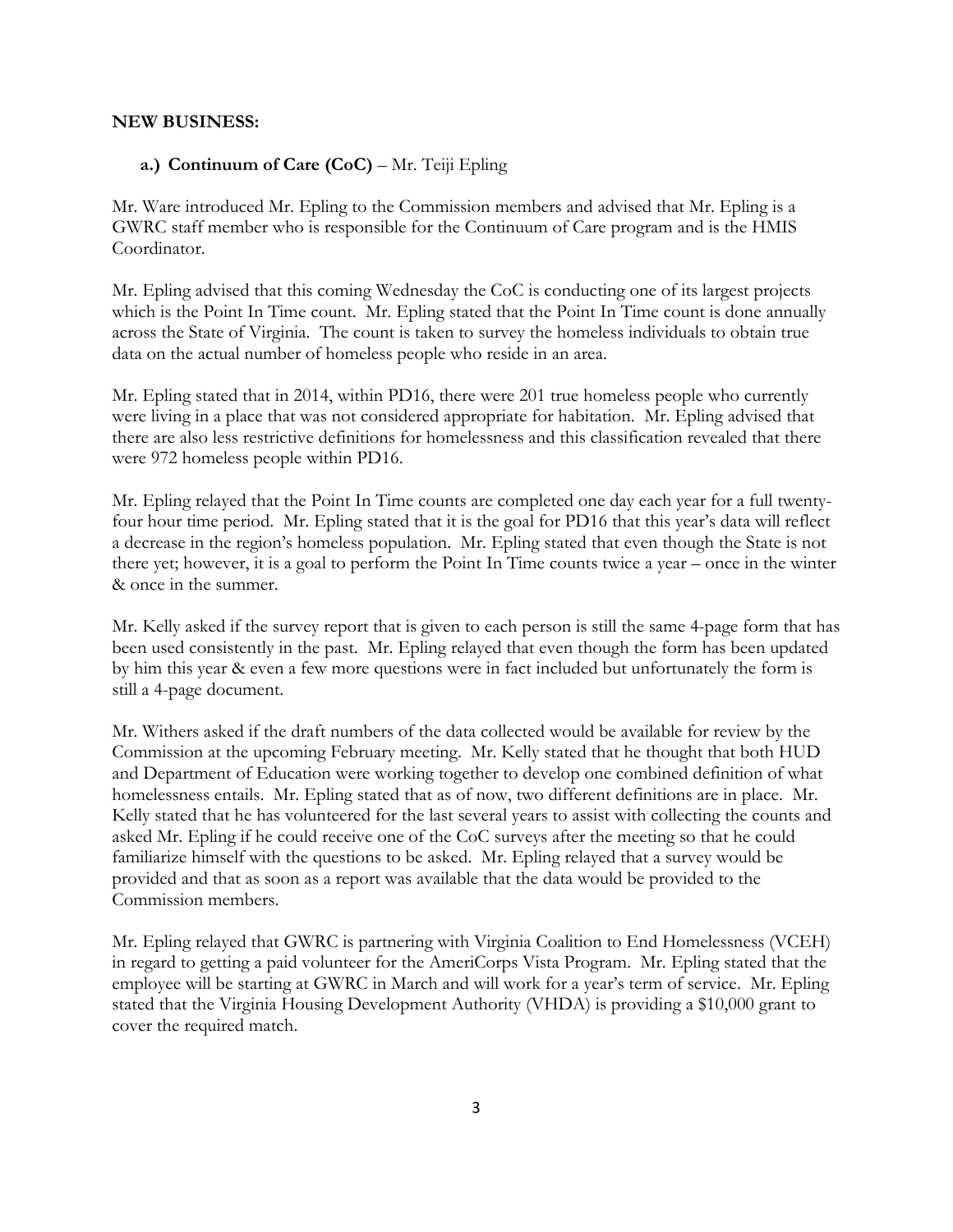#### **NEW BUSINESS:**

#### **a.) Continuum of Care (CoC)** – Mr. Teiji Epling

Mr. Ware introduced Mr. Epling to the Commission members and advised that Mr. Epling is a GWRC staff member who is responsible for the Continuum of Care program and is the HMIS Coordinator.

Mr. Epling advised that this coming Wednesday the CoC is conducting one of its largest projects which is the Point In Time count. Mr. Epling stated that the Point In Time count is done annually across the State of Virginia. The count is taken to survey the homeless individuals to obtain true data on the actual number of homeless people who reside in an area.

Mr. Epling stated that in 2014, within PD16, there were 201 true homeless people who currently were living in a place that was not considered appropriate for habitation. Mr. Epling advised that there are also less restrictive definitions for homelessness and this classification revealed that there were 972 homeless people within PD16.

Mr. Epling relayed that the Point In Time counts are completed one day each year for a full twentyfour hour time period. Mr. Epling stated that it is the goal for PD16 that this year's data will reflect a decrease in the region's homeless population. Mr. Epling stated that even though the State is not there yet; however, it is a goal to perform the Point In Time counts twice a year – once in the winter & once in the summer.

Mr. Kelly asked if the survey report that is given to each person is still the same 4-page form that has been used consistently in the past. Mr. Epling relayed that even though the form has been updated by him this year & even a few more questions were in fact included but unfortunately the form is still a 4-page document.

Mr. Withers asked if the draft numbers of the data collected would be available for review by the Commission at the upcoming February meeting. Mr. Kelly stated that he thought that both HUD and Department of Education were working together to develop one combined definition of what homelessness entails. Mr. Epling stated that as of now, two different definitions are in place. Mr. Kelly stated that he has volunteered for the last several years to assist with collecting the counts and asked Mr. Epling if he could receive one of the CoC surveys after the meeting so that he could familiarize himself with the questions to be asked. Mr. Epling relayed that a survey would be provided and that as soon as a report was available that the data would be provided to the Commission members.

Mr. Epling relayed that GWRC is partnering with Virginia Coalition to End Homelessness (VCEH) in regard to getting a paid volunteer for the AmeriCorps Vista Program. Mr. Epling stated that the employee will be starting at GWRC in March and will work for a year's term of service. Mr. Epling stated that the Virginia Housing Development Authority (VHDA) is providing a \$10,000 grant to cover the required match.